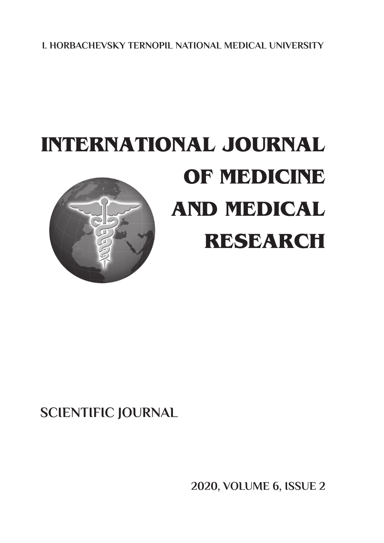**I. HORBACHEVSKY TERNOPIL National MEDICAL UNIVERSITY**

# **INTERNATIONAL JOURNAL Of medicine and medical research**

## **SCIENTIFIC JOURNAL**

**2020, Volume 6, ISSUE 2**